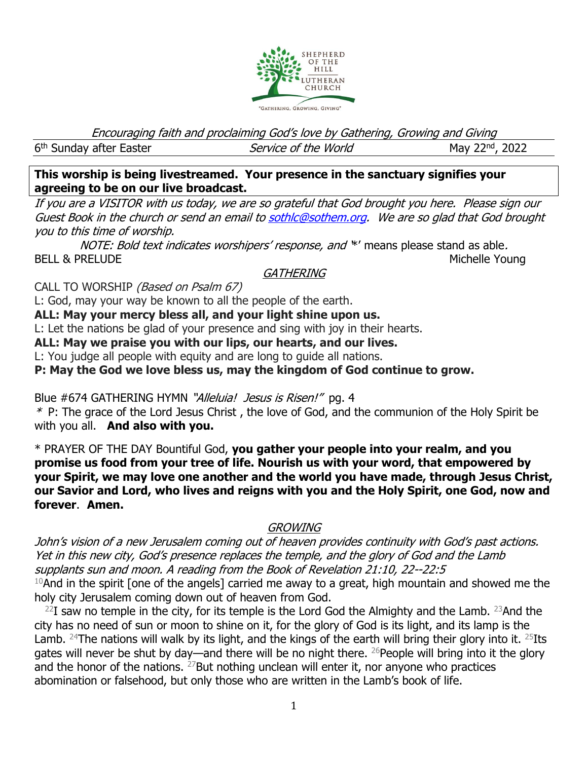

Encouraging faith and proclaiming God's love by Gathering, Growing and Giving

6<sup>th</sup> Sunday after Easter **Service of the World** May 22<sup>nd</sup>

May 22<sup>nd</sup>, 2022

**This worship is being livestreamed. Your presence in the sanctuary signifies your agreeing to be on our live broadcast.** 

If you are a VISITOR with us today, we are so grateful that God brought you here. Please sign our Guest Book in the church or send an email t[o sothlc@sothem.org.](mailto:sothlc@sothem.org) We are so glad that God brought you to this time of worship.

NOTE: Bold text indicates worshipers' response, and \*' means please stand as able. BELL & PRELUDE Michelle Young

## **GATHERING**

CALL TO WORSHIP (Based on Psalm 67)

L: God, may your way be known to all the people of the earth.

**ALL: May your mercy bless all, and your light shine upon us.**

L: Let the nations be glad of your presence and sing with joy in their hearts.

**ALL: May we praise you with our lips, our hearts, and our lives.**

L: You judge all people with equity and are long to guide all nations.

**P: May the God we love bless us, may the kingdom of God continue to grow.**

Blue #674 GATHERING HYMN "Alleluia! Jesus is Risen!" pg. 4

\* P: The grace of the Lord Jesus Christ , the love of God, and the communion of the Holy Spirit be with you all. **And also with you.**

\* PRAYER OF THE DAY Bountiful God, **you gather your people into your realm, and you promise us food from your tree of life. Nourish us with your word, that empowered by your Spirit, we may love one another and the world you have made, through Jesus Christ, our Savior and Lord, who lives and reigns with you and the Holy Spirit, one God, now and forever**. **Amen.**

## **GROWING**

John's vision of a new Jerusalem coming out of heaven provides continuity with God's past actions. Yet in this new city, God's presence replaces the temple, and the glory of God and the Lamb supplants sun and moon. A reading from the Book of Revelation 21:10, 22--22:5  $10$ And in the spirit [one of the angels] carried me away to a great, high mountain and showed me the holy city Jerusalem coming down out of heaven from God.

 $^{22}$ I saw no temple in the city, for its temple is the Lord God the Almighty and the Lamb.  $^{23}$ And the city has no need of sun or moon to shine on it, for the glory of God is its light, and its lamp is the Lamb. <sup>24</sup>The nations will walk by its light, and the kings of the earth will bring their glory into it. <sup>25</sup>Its gates will never be shut by day—and there will be no night there. <sup>26</sup>People will bring into it the glory and the honor of the nations.  $27$  But nothing unclean will enter it, nor anyone who practices abomination or falsehood, but only those who are written in the Lamb's book of life.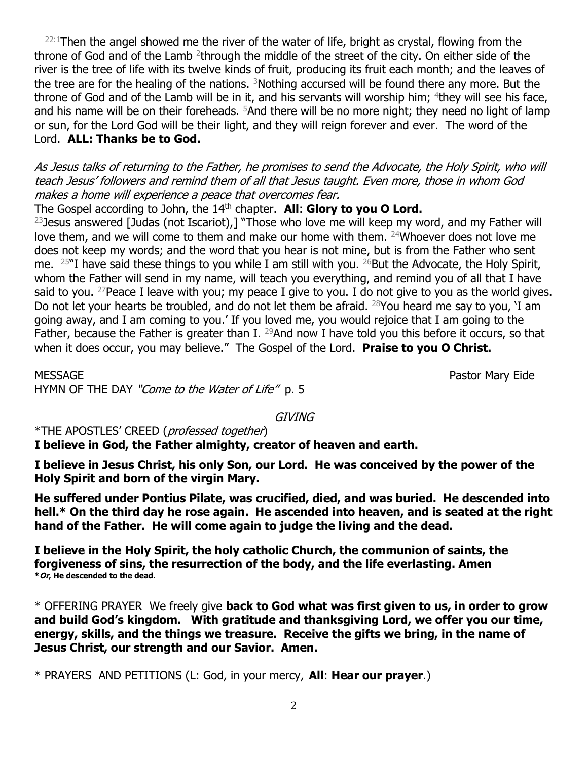$22:1$ Then the angel showed me the river of the water of life, bright as crystal, flowing from the throne of God and of the Lamb <sup>2</sup>through the middle of the street of the city. On either side of the river is the tree of life with its twelve kinds of fruit, producing its fruit each month; and the leaves of the tree are for the healing of the nations.  $3$ Nothing accursed will be found there any more. But the throne of God and of the Lamb will be in it, and his servants will worship him;  $4$ they will see his face, and his name will be on their foreheads. <sup>5</sup>And there will be no more night; they need no light of lamp or sun, for the Lord God will be their light, and they will reign forever and ever. The word of the Lord. **ALL: Thanks be to God.**

As Jesus talks of returning to the Father, he promises to send the Advocate, the Holy Spirit, who will teach Jesus' followers and remind them of all that Jesus taught. Even more, those in whom God makes a home will experience a peace that overcomes fear.

The Gospel according to John, the 14th chapter. **All**: **Glory to you O Lord.**

<sup>23</sup> Jesus answered [Judas (not Iscariot),] "Those who love me will keep my word, and my Father will love them, and we will come to them and make our home with them. <sup>24</sup>Whoever does not love me does not keep my words; and the word that you hear is not mine, but is from the Father who sent me.  $25$ "I have said these things to you while I am still with you.  $26$ But the Advocate, the Holy Spirit, whom the Father will send in my name, will teach you everything, and remind you of all that I have said to you. <sup>27</sup> Peace I leave with you; my peace I give to you. I do not give to you as the world gives. Do not let your hearts be troubled, and do not let them be afraid.  $^{28}$ You heard me say to you, 'I am going away, and I am coming to you.' If you loved me, you would rejoice that I am going to the Father, because the Father is greater than I. <sup>29</sup>And now I have told you this before it occurs, so that when it does occur, you may believe." The Gospel of the Lord. **Praise to you O Christ.**

MESSAGE Pastor Mary Eide HYMN OF THE DAY "Come to the Water of Life" p. 5

GIVING

\*THE APOSTLES' CREED (professed together)

**I believe in God, the Father almighty, creator of heaven and earth.**

**I believe in Jesus Christ, his only Son, our Lord. He was conceived by the power of the Holy Spirit and born of the virgin Mary.**

**He suffered under Pontius Pilate, was crucified, died, and was buried. He descended into hell.\* On the third day he rose again. He ascended into heaven, and is seated at the right hand of the Father. He will come again to judge the living and the dead.**

**I believe in the Holy Spirit, the holy catholic Church, the communion of saints, the forgiveness of sins, the resurrection of the body, and the life everlasting. Amen \*Or, He descended to the dead.**

\* OFFERING PRAYER We freely give **back to God what was first given to us, in order to grow and build God's kingdom. With gratitude and thanksgiving Lord, we offer you our time, energy, skills, and the things we treasure. Receive the gifts we bring, in the name of Jesus Christ, our strength and our Savior. Amen.** 

\* PRAYERS AND PETITIONS (L: God, in your mercy, **All**: **Hear our prayer**.)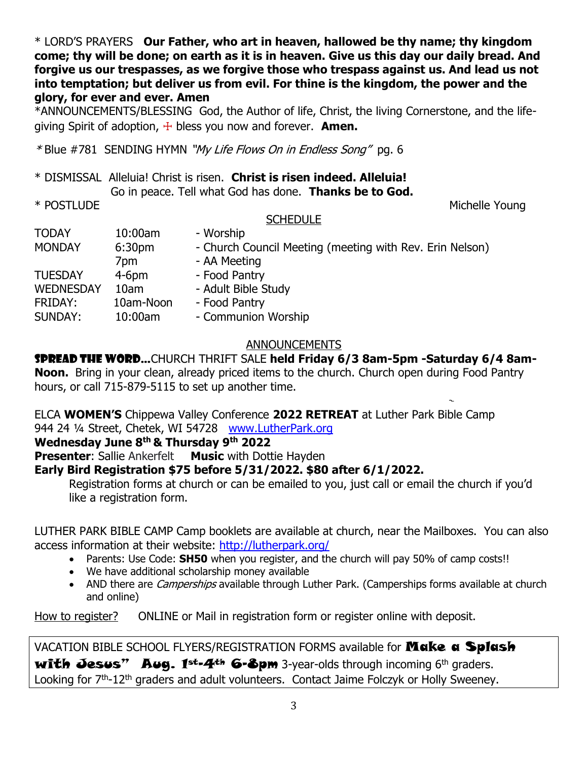\* LORD'S PRAYERS **Our Father, who art in heaven, hallowed be thy name; thy kingdom come; thy will be done; on earth as it is in heaven. Give us this day our daily bread. And forgive us our trespasses, as we forgive those who trespass against us. And lead us not into temptation; but deliver us from evil. For thine is the kingdom, the power and the glory, for ever and ever. Amen**

\*ANNOUNCEMENTS/BLESSING God, the Author of life, Christ, the living Cornerstone, and the lifegiving Spirit of adoption,  $\pm$  bless you now and forever. **Amen.** 

\*Blue #781 SENDING HYMN "My Life Flows On in Endless Song" pg. 6

| * DISMISSAL Alleluia! Christ is risen. Christ is risen indeed. Alleluia! |  |
|--------------------------------------------------------------------------|--|
| Go in peace. Tell what God has done. Thanks be to God.                   |  |

\* POSTLUDE Michelle Young

#### **SCHEDULE**

| <b>TODAY</b>     | 10:00am            | - Worship                                                |
|------------------|--------------------|----------------------------------------------------------|
| <b>MONDAY</b>    | 6:30 <sub>pm</sub> | - Church Council Meeting (meeting with Rev. Erin Nelson) |
|                  | 7pm                | - AA Meeting                                             |
| <b>TUESDAY</b>   | $4-6$ pm           | - Food Pantry                                            |
| <b>WEDNESDAY</b> | 10am               | - Adult Bible Study                                      |
| FRIDAY:          | 10am-Noon          | - Food Pantry                                            |
| SUNDAY:          | 10:00am            | - Communion Worship                                      |
|                  |                    |                                                          |

#### ANNOUNCEMENTS

# SPREAD THE WORD…CHURCH THRIFT SALE **held Friday 6/3 8am-5pm -Saturday 6/4 8am-**

**Noon.** Bring in your clean, already priced items to the church. Church open during Food Pantry hours, or call 715-879-5115 to set up another time.

ELCA **WOMEN'S** Chippewa Valley Conference **2022 RETREAT** at Luther Park Bible Camp 944 24 ¼ Street, Chetek, WI 54728 [www.LutherPark.org](http://www.lutherpark.org/)

#### **Wednesday June 8th & Thursday 9th 2022**

**Presenter:** Sallie Ankerfelt Music with Dottie Hayden

### **Early Bird Registration \$75 before 5/31/2022. \$80 after 6/1/2022.**

Registration forms at church or can be emailed to you, just call or email the church if you'd like a registration form.

LUTHER PARK BIBLE CAMP Camp booklets are available at church, near the Mailboxes. You can also access information at their website:<http://lutherpark.org/>

- Parents: Use Code: **SH50** when you register, and the church will pay 50% of camp costs!!
- We have additional scholarship money available
- AND there are *Camperships* available through Luther Park. (Camperships forms available at church and online)

How to register? ONLINE or Mail in registration form or register online with deposit.

VACATION BIBLE SCHOOL FLYERS/REGISTRATION FORMS available for **Make a Splash** with Jesus" Aug.  $1^{st-4^{th}}$  6-8pm 3-year-olds through incoming 6<sup>th</sup> graders. Looking for 7<sup>th</sup>-12<sup>th</sup> graders and adult volunteers. Contact Jaime Folczyk or Holly Sweeney.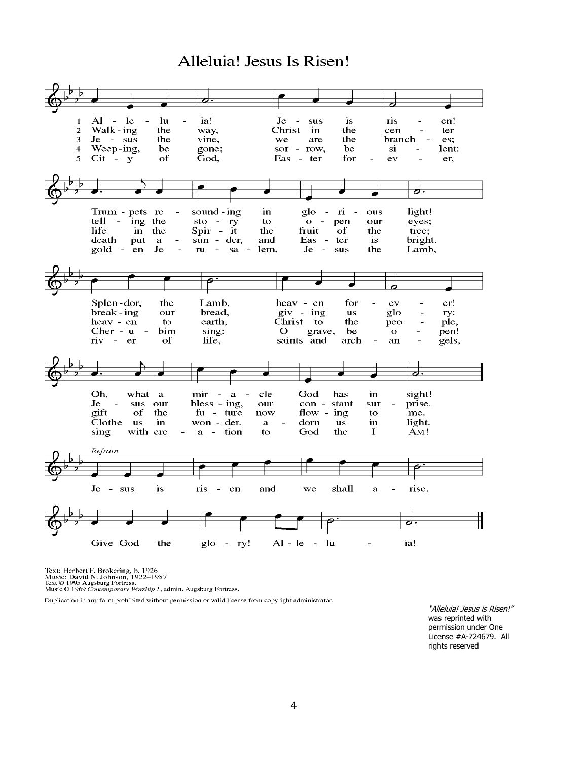# Alleluia! Jesus Is Risen!



Text: Herbert F. Brokering, b. 1926<br>Music: David N. Johnson, 1922–1987<br>Text © 1995 Augsburg Fortress.<br>Music © 1969 Contemporary Worship 1, admin. Augsburg Fortress.

Duplication in any form prohibited without permission or valid license from copyright administrator.

"Alleluia! Jesus is Risen!" was reprinted with permission under One License #A-724679. All rights reserved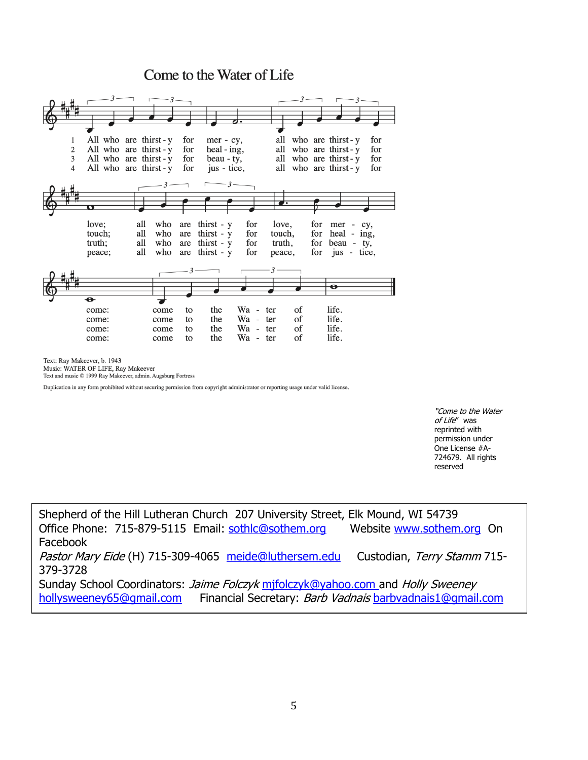## Come to the Water of Life



Text: Ray Makeever, b. 1943

Music: WATER OF LIFE, Ray Makeever

Text and music © 1999 Ray Makeever, admin. Augsburg Fortress

Duplication in any form prohibited without securing permission from copyright administrator or reporting usage under valid license.

"Come to the Water of Life" was reprinted with permission under One License #A-724679. All rights reserved

Shepherd of the Hill Lutheran Church 207 University Street, Elk Mound, WI 54739 Office Phone: 715-879-5115 Email: [sothlc@sothem.org](mailto:sothlc@sothem.org) Website [www.sothem.org](http://www.sothem.org/) On Facebook Pastor Mary Eide (H) 715-309-4065 [meide@luthersem.edu](mailto:meide@luthersem.edu) Custodian, Terry Stamm 715-379-3728 Sunday School Coordinators: Jaime Folczyk mifolczyk@yahoo.com and Holly Sweeney [hollysweeney65@gmail.com](mailto:hollysweeney65@gmail.com) Financial Secretary: Barb Vadnais [barbvadnais1@gmail.com](mailto:barbvadnais1@gmail.com)